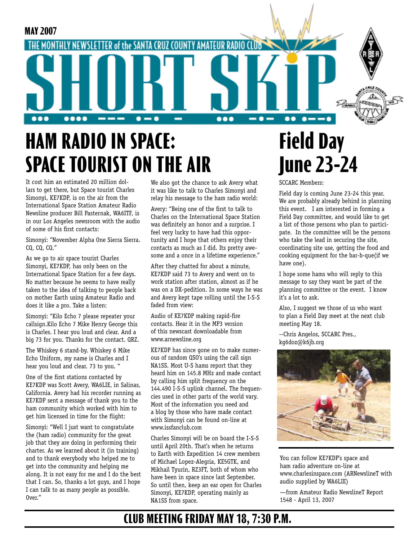

## **HAM RADIO IN SPACE: SPACE TOURIST ON THE AIR**

It cost him an estimated 20 million dollars to get there, but Space tourist Charles Simonyi, KE7KDP, is on the air from the International Space Station Amateur Radio Newsline producer Bill Pasternak, WA6ITF, is in our Los Angeles newsroom with the audio of some of his first contacts:

Simonyi: "November Alpha One Sierra Sierra. CQ, CQ, CQ."

As we go to air space tourist Charles Simonyi, KE7KDP, has only been on the International Space Station for a few days. No matter because he seems to have really taken to the idea of talking to people back on mother Earth using Amateur Radio and does it like a pro. Take a listen:

Simonyi: "Kilo Echo 7 please repeater your callsign.Kilo Echo 7 Mike Henry George this is Charles. I hear you loud and clear. And a big 73 for you. Thanks for the contact. QRZ.

The Whiskey 6 stand-by. Whiskey 6 Mike Echo Uniform, my name is Charles and I hear you loud and clear. 73 to you. "

One of the first stations contacted by KE7KDP was Scott Avery, WA6LIE, in Salinas, California. Avery had his recorder running as KE7KDP sent a message of thank you to the ham community which worked with him to get him licensed in time for the flight:

Simonyi: "Well I just want to congratulate the (ham radio) community for the great job that they are doing in performing their charter. As we learned about it (in training) and to thank everybody who helped me to get into the community and helping me along. It is not easy for me and I do the best that I can. So, thanks a lot guys, and I hope I can talk to as many people as possible. Over."

We also got the chance to ask Avery what it was like to talk to Charles Simonyi and relay his message to the ham radio world:

Avery: "Being one of the first to talk to Charles on the International Space Station was definitely an honor and a surprise. I feel very lucky to have had this opportunity and I hope that others enjoy their contacts as much as I did. Its pretty awesome and a once in a lifetime experience."

After they chatted for about a minute, KE7KDP said 73 to Avery and went on to work station after station, almost as if he was on a DX-pedition. In some ways he was and Avery kept tape rolling until the I-S-S faded from view:

Audio of KE7KDP making rapid-fire contacts. Hear it in the MP3 version of this newscast downloadable from www.arnewsline.org

KE7KDP has since gone on to make numerous of random QSO's using the call sign NA1SS. Most U-S hams report that they heard him on 145.8 MHz and made contact by calling him split frequency on the 144.490 I-S-S uplink channel. The frequencies used in other parts of the world vary. Most of the information you need and a blog by those who have made contact with Simonyi can be found on-line at www.issfanclub.com

Charles Simonyi will be on board the I-S-S until April 20th. That's when he returns to Earth with Expedition 14 crew members of Michael Lopez-Alegria, KE5GTK, and Mikhail Tyurin, RZ3FT, both of whom who have been in space since last September. So until then, keep an ear open for Charles Simonyi, KE7KDP, operating mainly as NA1SS from space.

## **Field Day June 23-24**

SCCARC Members:

Field day is coming June 23-24 this year. We are probably already behind in planning this event. I am interested in forming a Field Day committee, and would like to get a list of those persons who plan to participate. In the committee will be the persons who take the lead in securing the site, coordinating site use, getting the food and cooking equipment for the bar-b-que(if we have one).

I hope some hams who will reply to this message to say they want be part of the planning committee or the event. I know it's a lot to ask.

Also, I suggest we those of us who want to plan a Field Day meet at the next club meeting May 18.

--Chris Angelos, SCCARC Pres., kg6doz@k6jb.org



You can follow KE7KDP's space and ham radio adventure on-line at www.charlesinspace.com (ARNewslineT with audio supplied by WA6LIE)

—from Amateur Radio NewslineT Report 1548 - April 13, 2007

### **CLUB MEETING FRIDAY MAY 18, 7:30 P.M.**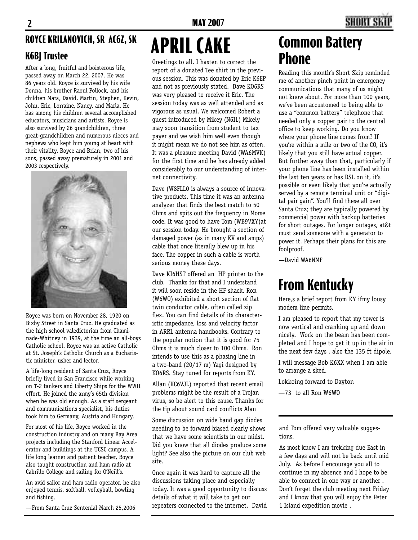#### **ROYCE KRILANOVICH, SR AC6Z, SK**

#### **K6BJ Trustee**

After a long, fruitful and boisterous life, passed away on March 22, 2007. He was 86 years old. Royce is survived by his wife Donna, his brother Raoul Pollock, and his children Mara, David, Martin, Stephen, Kevin, John, Eric, Lorraine, Nancy, and Marla. He has among his children several accomplished educators, musicians and artists. Royce is also survived by 26 grandchildren, three great-grandchildren and numerous nieces and nephews who kept him young at heart with their vitality. Royce and Brian, two of his sons, passed away prematurely in 2001 and 2003 respectively.



Royce was born on November 28, 1920 on Bixby Street in Santa Cruz. He graduated as the high school valedictorian from Chaminade-Whitney in 1939, at the time an all-boys Catholic school. Royce was an active Catholic at St. Joseph's Catholic Church as a Eucharistic minister, usher and lector.

A life-long resident of Santa Cruz, Royce briefly lived in San Francisco while working on T-2 tankers and Liberty Ships for the WWII effort. He joined the army's 65th division when he was old enough. As a staff sergeant and communications specialist, his duties took him to Germany, Austria and Hungary.

For most of his life, Royce worked in the construction industry and on many Bay Area projects including the Stanford Linear Accelerator and buildings at the UCSC campus. A life long learner and patient teacher, Royce also taught construction and ham radio at Cabrillo College and sailing for O'Neill's.

An avid sailor and ham radio operator, he also enjoyed tennis, softball, volleyball, bowling and fishing.

—From Santa Cruz Sentenial March 25,2006

# **APRIL CAKE**

Greetings to all. I hasten to correct the report of a donated Tee shirt in the previous session. This was donated by Eric K6EP and not as previously stated. Dave KO6RS was very pleased to receive it Eric. The session today was as well attended and as vigorous as usual. We welcomed Robert a guest introduced by Mikey (N6IL) Mikely may soon transition from student to tax payer and we wish him well even though it might mean we do not see him as often. It was a pleasure meeting David (WA6MVK) for the first time and he has already added considerably to our understanding of internet connectivity.

Dave (W8FLL0 is always a source of innovative products. This time it was an antenna analyzer that finds the best match to 50 Ohms and spits out the frequency in Morse code. It was good to have Tom (WB9VXY)at our session today. He brought a section of damaged power (as in many KV and amps) cable that once literally blew up in his face. The copper in such a cable is worth serious money these days.

Dave KI6HST offered an HP printer to the club. Thanks for that and I understand it will soon reside in the HF shack. Ron (W6WO) exhibited a short section of flat twin conductor cable, often called zip flex. You can find details of its characteristic impedance, loss and velocity factor in ARRL antenna handbooks. Contrary to the popular notion that it is good for 75 Ohms it is much closer to 100 Ohms. Ron intends to use this as a phasing line in a two-band (20/17 m) Yagi designed by KO6RS. Stay tuned for reports from KY.

Allan (KC6VJL) reported that recent email problems might be the result of a Trojan virus, so be alert to this cause. Thanks for the tip about sound card conflicts Alan

Some discussion on wide band gap diodes needing to be forward biased clearly shows that we have some scientists in our midst. Did you know that all diodes produce some light? See also the picture on our club web site.

Once again it was hard to capture all the discussions taking place and especially today. It was a good opportunity to discuss details of what it will take to get our repeaters connected to the internet. David

### **Common Battery Phone**

Reading this month's Short Skip reminded me of another pinch point in emergency communications that many of us might not know about. For more than 100 years, we've been accustomed to being able to use a "common battery" telephone that needed only a copper pair to the central office to keep working. Do you know where your phone line comes from? If you're within a mile or two of the CO, it's likely that you still have actual copper. But further away than that, particularly if your phone line has been installed within the last ten years or has DSL on it, it's possible or even likely that you're actually served by a remote terminal unit or "digital pair gain". You'll find these all over Santa Cruz; they are typically powered by commercial power with backup batteries for short outages. For longer outages, at&t must send someone with a generator to power it. Perhaps their plans for this are foolproof.

—David WA6NMF

### **From Kentucky**

Here,s a brief report from KY ifmy lousy modem line permits.

I am pleased to report that my tower is now vertical and cranking up and down nicely. Work on the beam has been completed and I hope to get it up in the air in the next few days , also the 135 ft dipole.

I will message Bob K6XX when I am able to arrange a sked.

Lokkoing forward to Dayton

—73 to all Ron W6WO

and Tom offered very valuable suggestions.

As most know I am trekking due East in a few days and will not be back until mid July. As before I encourage you all to continue in my absence and I hope to be able to connect in one way or another . Don't forget the club meeting next Friday and I know that you will enjoy the Peter 1 Island expedition movie .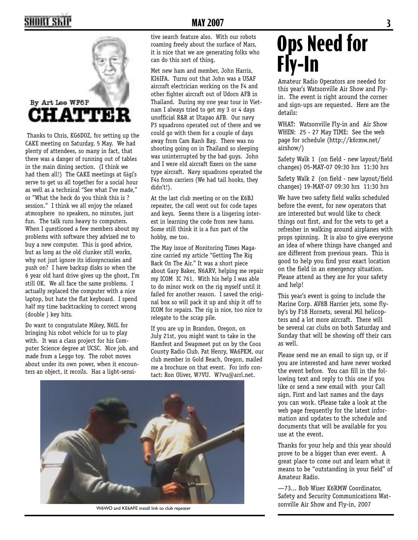### **2 MAY 2007 3 MAY 2007 3**



 Thanks to Chris, KG6DOZ, for setting up the CAKE meeting on Saturday, 5 May. We had plenty of attendees, so many in fact, that there was a danger of running out of tables in the main dining section. (I think we had them all!) The CAKE meetings at Gigi's serve to get us all together for a social hour as well as a technical "See what I've made," or "What the heck do you think this is ? session." I think we all enjoy the relaxed atmosphere no speakers, no minutes, just fun. The talk runs heavy to computers. When I questioned a few members about my problems with software they advised me to buy a new computer. This is good advice, but as long as the old clunker still works, why not just ignore its idiosyncrasies and push on? I have backup disks so when the 6 year old hard drive gives up the ghost, I'm still OK. We all face the same problems. I actually replaced the computer with a nice laptop, but hate the flat keyboard. I spend half my time backtracking to correct wrong (double ) key hits.

Do want to congratulate Mikey, N6IL for bringing his robot vehicle for us to play with. It was a class project for his Computer Science degree at UCSC. Nice job, and made from a Leggo toy. The robot moves about under its own power, when it encounters an object, it recoils. Has a light-sensitive search feature also. With our robots roaming freely about the surface of Mars, it is nice that we are generating folks who can do this sort of thing.

Met new ham and member, John Harris, KI6IFA. Turns out that John was a USAF aircraft electrician working on the F4 and other fighter aircraft out of Udorn AFB in Thailand. During my one year tour in Vietnam I always tried to get my 3 or 4 days unofficial R&R at Utapao AFB. Our navy P3 squadrons operated out of there and we could go with them for a couple of days away from Cam Ranh Bay. There was no shooting going on in Thailand so sleeping was uninterrupted by the bad guys. John and I were old aircraft fixers on the same type aircraft. Navy squadrons operated the F4s from carriers (We had tail hooks, they didn't!).

At the last club meeting or on the K6BJ repeater, the call went out for code tapes and keys. Seems there is a lingering interest in learning the code from new hams. Some still think it is a fun part of the hobby, me too.

The May issue of Monitoring Times Magazine carried my article "Getting The Rig Back On The Air." It was a short piece about Gary Baker, N6ARV, helping me repair my ICOM IC 761. With his help I was able to do minor work on the rig myself until it failed for another reason. I saved the original box so will pack it up and ship it off to ICOM for repairs. The rig is nice, too nice to relegate to the scrap pile.

If you are up in Brandon, Oregon, on July 21st, you might want to take in the Hamfest and Swapmeet put on by the Coos County Radio Club. Pat Henry, WA6PKM, our club member in Gold Beach, Oregon, mailed me a brochure on that event. For info contact: Ron Oliver, W7VU. W7vu@arrl.net.



W6WO and KE6AFE install link to club repeater

### **Ops Need for Fly-In**

Amateur Radio Operators are needed for this year's Watsonville Air Show and Flyin. The event is right around the corner and sign-ups are requested. Here are the details:

WHAT: Watsonville Fly-in and Air Show WHEN: 25 - 27 May TIME: See the web page for schedule (http://k6rmw.net/ airshow/)

Safety Walk 1 (on field - new layout/field changes) 05-MAY-07 09:30 hrs 11:30 hrs

Safety Walk 2 (on field - new layout/field changes) 19-MAY-07 09:30 hrs 11:30 hrs

We have two safety field walks scheduled before the event, for new operators that are interested but would like to check things out first, and for the vets to get a refresher in walking around airplanes with props spinning. It is also to give everyone an idea of where things have changed and are different from previous years. This is good to help you find your exact location on the field in an emergency situation. Please attend as they are for your safety and help!

This year's event is going to include the Marine Corp. AV8B Harrier jets, some flyby's by F18 Hornets, several Mil helicopters and a lot more aircraft. There will be several car clubs on both Saturday and Sunday that will be showing off their cars as well.

Please send me an email to sign up, or if you are interested and have never worked the event before. You can fill in the following text and reply to this one if you like or send a new email with your Call sign, First and last names and the days you can work. tPlease take a look at the web page frequently for the latest information and updates to the schedule and documents that will be available for you use at the event.

Thanks for your help and this year should prove to be a bigger than ever event. A great place to come out and learn what it means to be "outstanding in your field" of Amateur Radio.

—73... Bob Wiser K6RMW Coordinator, Safety and Security Communications Watsonville Air Show and Fly-in, 2007